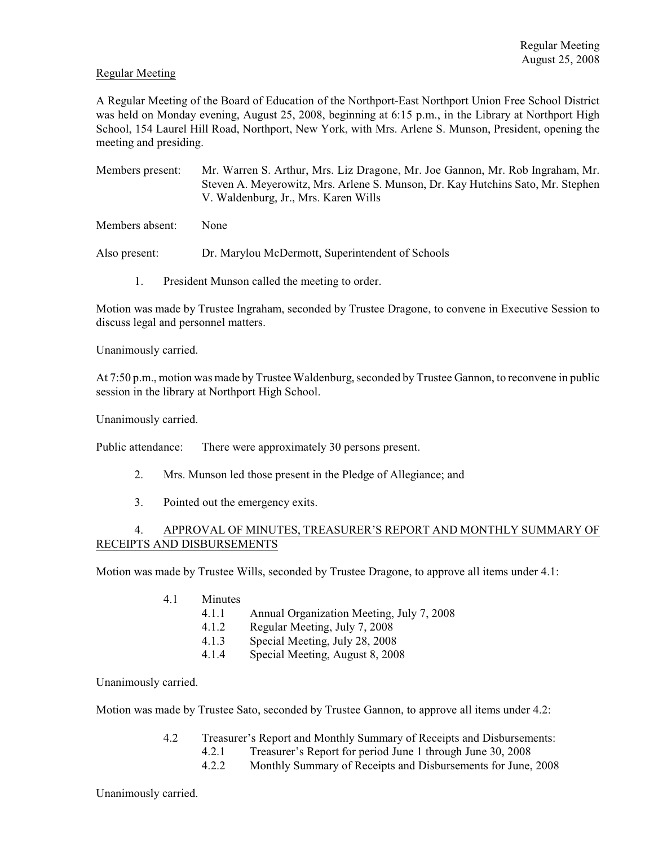# Regular Meeting

A Regular Meeting of the Board of Education of the Northport-East Northport Union Free School District was held on Monday evening, August 25, 2008, beginning at 6:15 p.m., in the Library at Northport High School, 154 Laurel Hill Road, Northport, New York, with Mrs. Arlene S. Munson, President, opening the meeting and presiding.

Members present: Mr. Warren S. Arthur, Mrs. Liz Dragone, Mr. Joe Gannon, Mr. Rob Ingraham, Mr. Steven A. Meyerowitz, Mrs. Arlene S. Munson, Dr. Kay Hutchins Sato, Mr. Stephen V. Waldenburg, Jr., Mrs. Karen Wills

Members absent: None

Also present: Dr. Marylou McDermott, Superintendent of Schools

1. President Munson called the meeting to order.

Motion was made by Trustee Ingraham, seconded by Trustee Dragone, to convene in Executive Session to discuss legal and personnel matters.

Unanimously carried.

At 7:50 p.m., motion was made by Trustee Waldenburg, seconded by Trustee Gannon, to reconvene in public session in the library at Northport High School.

Unanimously carried.

Public attendance: There were approximately 30 persons present.

- 2. Mrs. Munson led those present in the Pledge of Allegiance; and
- 3. Pointed out the emergency exits.

# 4. APPROVAL OF MINUTES, TREASURER'S REPORT AND MONTHLY SUMMARY OF RECEIPTS AND DISBURSEMENTS

Motion was made by Trustee Wills, seconded by Trustee Dragone, to approve all items under 4.1:

- 4.1 Minutes
	- 4.1.1 Annual Organization Meeting, July 7, 2008
	- 4.1.2 Regular Meeting, July 7, 2008
	- 4.1.3 Special Meeting, July 28, 2008
	- 4.1.4 Special Meeting, August 8, 2008

Unanimously carried.

Motion was made by Trustee Sato, seconded by Trustee Gannon, to approve all items under 4.2:

- 4.2 Treasurer's Report and Monthly Summary of Receipts and Disbursements:
	- 4.2.1 Treasurer's Report for period June 1 through June 30, 2008
		- 4.2.2 Monthly Summary of Receipts and Disbursements for June, 2008

Unanimously carried.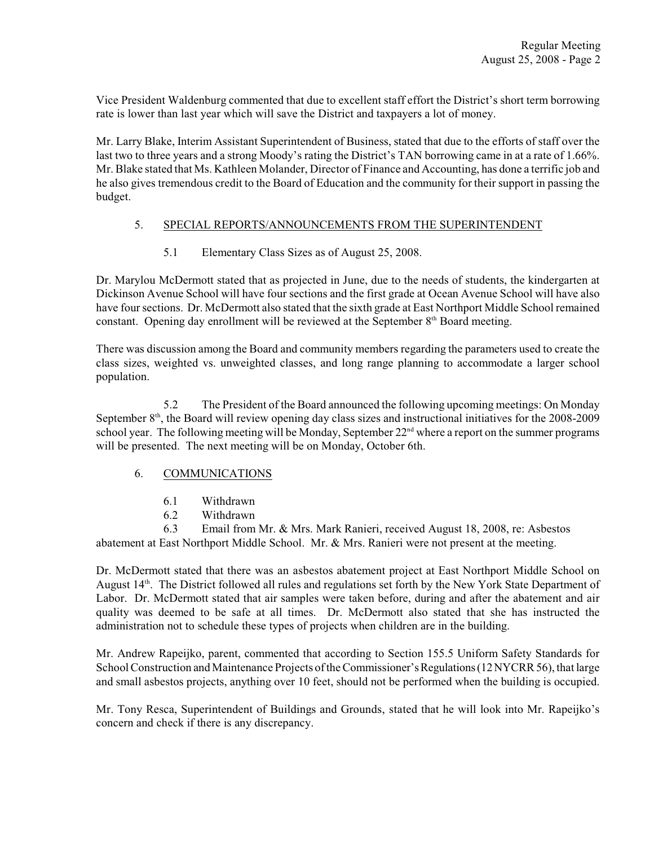Vice President Waldenburg commented that due to excellent staff effort the District's short term borrowing rate is lower than last year which will save the District and taxpayers a lot of money.

Mr. Larry Blake, Interim Assistant Superintendent of Business, stated that due to the efforts of staff over the last two to three years and a strong Moody's rating the District's TAN borrowing came in at a rate of 1.66%. Mr. Blake stated that Ms. Kathleen Molander, Director of Finance and Accounting, has done a terrific job and he also gives tremendous credit to the Board of Education and the community for their support in passing the budget.

# 5. SPECIAL REPORTS/ANNOUNCEMENTS FROM THE SUPERINTENDENT

5.1 Elementary Class Sizes as of August 25, 2008.

Dr. Marylou McDermott stated that as projected in June, due to the needs of students, the kindergarten at Dickinson Avenue School will have four sections and the first grade at Ocean Avenue School will have also have four sections. Dr. McDermott also stated that the sixth grade at East Northport Middle School remained constant. Opening day enrollment will be reviewed at the September  $8<sup>th</sup>$  Board meeting.

There was discussion among the Board and community members regarding the parameters used to create the class sizes, weighted vs. unweighted classes, and long range planning to accommodate a larger school population.

5.2 The President of the Board announced the following upcoming meetings: On Monday September  $8<sup>th</sup>$ , the Board will review opening day class sizes and instructional initiatives for the 2008-2009 school year. The following meeting will be Monday, September  $22<sup>nd</sup>$  where a report on the summer programs will be presented. The next meeting will be on Monday, October 6th.

# 6. COMMUNICATIONS

- 6.1 Withdrawn
- 6.2 Withdrawn

6.3 Email from Mr. & Mrs. Mark Ranieri, received August 18, 2008, re: Asbestos abatement at East Northport Middle School. Mr. & Mrs. Ranieri were not present at the meeting.

Dr. McDermott stated that there was an asbestos abatement project at East Northport Middle School on August 14<sup>th</sup>. The District followed all rules and regulations set forth by the New York State Department of Labor. Dr. McDermott stated that air samples were taken before, during and after the abatement and air quality was deemed to be safe at all times. Dr. McDermott also stated that she has instructed the administration not to schedule these types of projects when children are in the building.

Mr. Andrew Rapeijko, parent, commented that according to Section 155.5 Uniform Safety Standards for School Construction and Maintenance Projects of the Commissioner's Regulations (12 NYCRR 56), that large and small asbestos projects, anything over 10 feet, should not be performed when the building is occupied.

Mr. Tony Resca, Superintendent of Buildings and Grounds, stated that he will look into Mr. Rapeijko's concern and check if there is any discrepancy.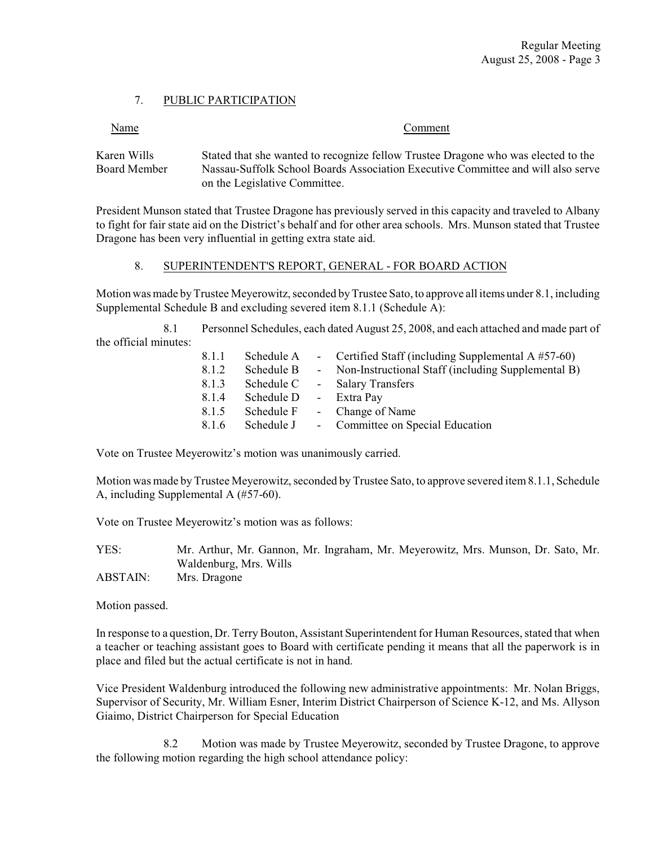# 7. PUBLIC PARTICIPATION

| Name | $\sim$  |
|------|---------|
|      | Comment |
|      |         |

Karen Wills Stated that she wanted to recognize fellow Trustee Dragone who was elected to the Board Member Nassau-Suffolk School Boards Association Executive Committee and will also serve on the Legislative Committee.

President Munson stated that Trustee Dragone has previously served in this capacity and traveled to Albany to fight for fair state aid on the District's behalf and for other area schools. Mrs. Munson stated that Trustee Dragone has been very influential in getting extra state aid.

### 8. SUPERINTENDENT'S REPORT, GENERAL - FOR BOARD ACTION

Motion was made by Trustee Meyerowitz, seconded by Trustee Sato, to approve all items under 8.1, including Supplemental Schedule B and excluding severed item 8.1.1 (Schedule A):

8.1 Personnel Schedules, each dated August 25, 2008, and each attached and made part of the official minutes:

| 8.1.1 | Schedule A | - Certified Staff (including Supplemental $A \# 57-60$ ) |
|-------|------------|----------------------------------------------------------|
| 8.1.2 | Schedule B | Non-Instructional Staff (including Supplemental B)       |
| 8.1.3 | Schedule C | - Salary Transfers                                       |
| 8.1.4 | Schedule D | - Extra Pay                                              |
| 8.1.5 | Schedule F | - Change of Name                                         |
| 8.1.6 | Schedule J | - Committee on Special Education                         |

Vote on Trustee Meyerowitz's motion was unanimously carried.

Motion was made by Trustee Meyerowitz, seconded by Trustee Sato, to approve severed item 8.1.1, Schedule A, including Supplemental A (#57-60).

Vote on Trustee Meyerowitz's motion was as follows:

YES: Mr. Arthur, Mr. Gannon, Mr. Ingraham, Mr. Meyerowitz, Mrs. Munson, Dr. Sato, Mr. Waldenburg, Mrs. Wills

ABSTAIN: Mrs. Dragone

Motion passed.

In response to a question, Dr. Terry Bouton, Assistant Superintendent for Human Resources, stated that when a teacher or teaching assistant goes to Board with certificate pending it means that all the paperwork is in place and filed but the actual certificate is not in hand.

Vice President Waldenburg introduced the following new administrative appointments: Mr. Nolan Briggs, Supervisor of Security, Mr. William Esner, Interim District Chairperson of Science K-12, and Ms. Allyson Giaimo, District Chairperson for Special Education

8.2 Motion was made by Trustee Meyerowitz, seconded by Trustee Dragone, to approve the following motion regarding the high school attendance policy: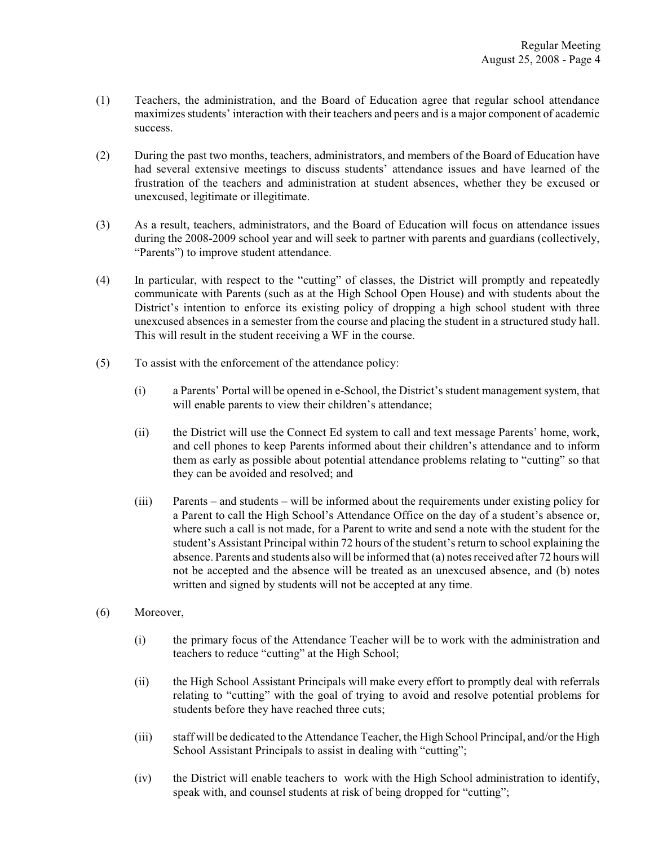- (1) Teachers, the administration, and the Board of Education agree that regular school attendance maximizes students' interaction with their teachers and peers and is a major component of academic success.
- (2) During the past two months, teachers, administrators, and members of the Board of Education have had several extensive meetings to discuss students' attendance issues and have learned of the frustration of the teachers and administration at student absences, whether they be excused or unexcused, legitimate or illegitimate.
- (3) As a result, teachers, administrators, and the Board of Education will focus on attendance issues during the 2008-2009 school year and will seek to partner with parents and guardians (collectively, "Parents") to improve student attendance.
- (4) In particular, with respect to the "cutting" of classes, the District will promptly and repeatedly communicate with Parents (such as at the High School Open House) and with students about the District's intention to enforce its existing policy of dropping a high school student with three unexcused absences in a semester from the course and placing the student in a structured study hall. This will result in the student receiving a WF in the course.
- (5) To assist with the enforcement of the attendance policy:
	- (i) a Parents' Portal will be opened in e-School, the District's student management system, that will enable parents to view their children's attendance;
	- (ii) the District will use the Connect Ed system to call and text message Parents' home, work, and cell phones to keep Parents informed about their children's attendance and to inform them as early as possible about potential attendance problems relating to "cutting" so that they can be avoided and resolved; and
	- (iii) Parents and students will be informed about the requirements under existing policy for a Parent to call the High School's Attendance Office on the day of a student's absence or, where such a call is not made, for a Parent to write and send a note with the student for the student's Assistant Principal within 72 hours of the student's return to school explaining the absence. Parents and students also will be informed that (a) notes received after 72 hours will not be accepted and the absence will be treated as an unexcused absence, and (b) notes written and signed by students will not be accepted at any time.
- (6) Moreover,
	- (i) the primary focus of the Attendance Teacher will be to work with the administration and teachers to reduce "cutting" at the High School;
	- (ii) the High School Assistant Principals will make every effort to promptly deal with referrals relating to "cutting" with the goal of trying to avoid and resolve potential problems for students before they have reached three cuts;
	- (iii) staff will be dedicated to the Attendance Teacher, the High School Principal, and/or the High School Assistant Principals to assist in dealing with "cutting";
	- (iv) the District will enable teachers to work with the High School administration to identify, speak with, and counsel students at risk of being dropped for "cutting";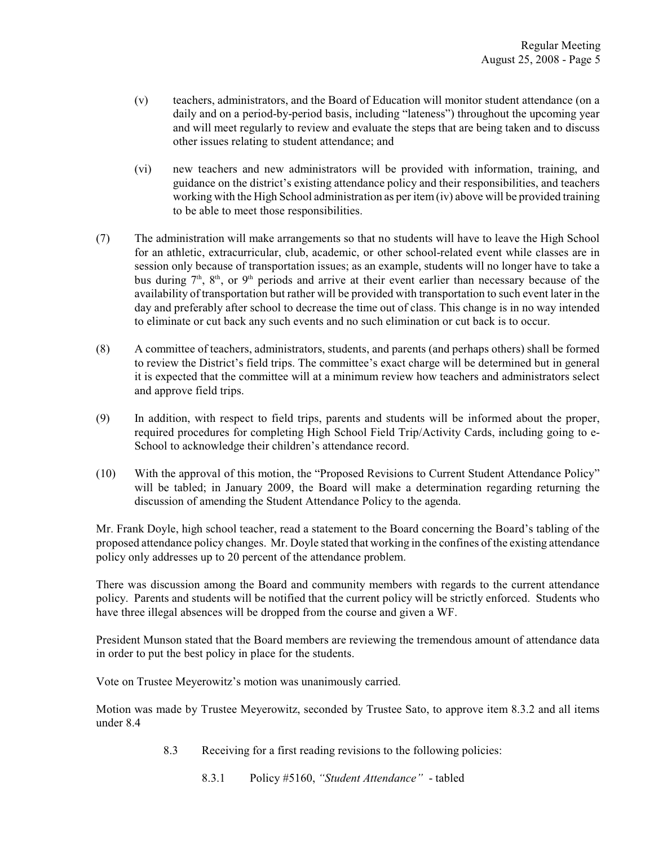- (v) teachers, administrators, and the Board of Education will monitor student attendance (on a daily and on a period-by-period basis, including "lateness") throughout the upcoming year and will meet regularly to review and evaluate the steps that are being taken and to discuss other issues relating to student attendance; and
- (vi) new teachers and new administrators will be provided with information, training, and guidance on the district's existing attendance policy and their responsibilities, and teachers working with the High School administration as per item (iv) above will be provided training to be able to meet those responsibilities.
- (7) The administration will make arrangements so that no students will have to leave the High School for an athletic, extracurricular, club, academic, or other school-related event while classes are in session only because of transportation issues; as an example, students will no longer have to take a bus during  $7<sup>th</sup>$ ,  $8<sup>th</sup>$ , or  $9<sup>th</sup>$  periods and arrive at their event earlier than necessary because of the availability of transportation but rather will be provided with transportation to such event later in the day and preferably after school to decrease the time out of class. This change is in no way intended to eliminate or cut back any such events and no such elimination or cut back is to occur.
- (8) A committee of teachers, administrators, students, and parents (and perhaps others) shall be formed to review the District's field trips. The committee's exact charge will be determined but in general it is expected that the committee will at a minimum review how teachers and administrators select and approve field trips.
- (9) In addition, with respect to field trips, parents and students will be informed about the proper, required procedures for completing High School Field Trip/Activity Cards, including going to e-School to acknowledge their children's attendance record.
- (10) With the approval of this motion, the "Proposed Revisions to Current Student Attendance Policy" will be tabled; in January 2009, the Board will make a determination regarding returning the discussion of amending the Student Attendance Policy to the agenda.

Mr. Frank Doyle, high school teacher, read a statement to the Board concerning the Board's tabling of the proposed attendance policy changes. Mr. Doyle stated that working in the confines of the existing attendance policy only addresses up to 20 percent of the attendance problem.

There was discussion among the Board and community members with regards to the current attendance policy. Parents and students will be notified that the current policy will be strictly enforced. Students who have three illegal absences will be dropped from the course and given a WF.

President Munson stated that the Board members are reviewing the tremendous amount of attendance data in order to put the best policy in place for the students.

Vote on Trustee Meyerowitz's motion was unanimously carried.

Motion was made by Trustee Meyerowitz, seconded by Trustee Sato, to approve item 8.3.2 and all items under 8.4

8.3 Receiving for a first reading revisions to the following policies:

8.3.1 Policy #5160, *"Student Attendance"* - tabled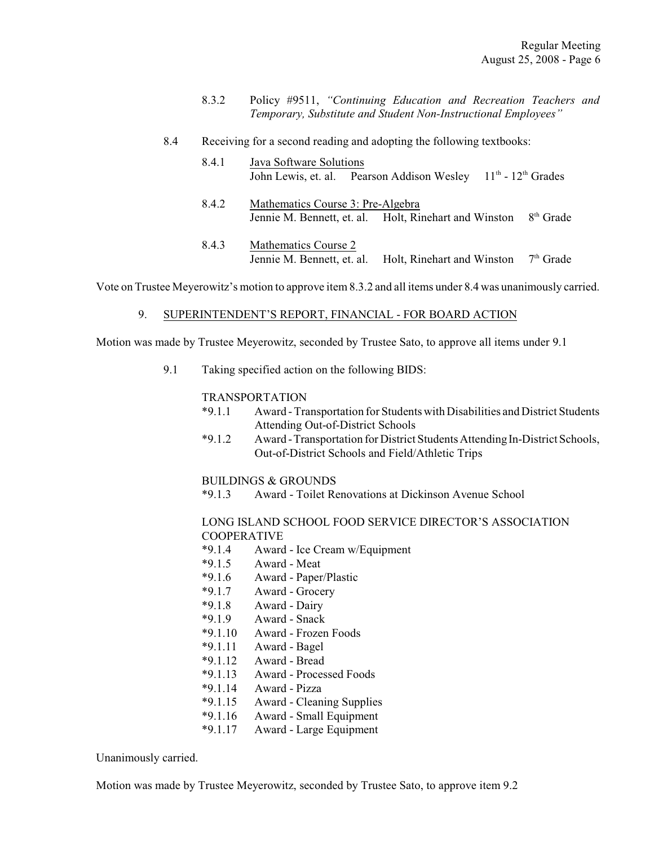- 8.3.2 Policy #9511, *"Continuing Education and Recreation Teachers and Temporary, Substitute and Student Non-Instructional Employees"*
- 8.4 Receiving for a second reading and adopting the following textbooks:
	- 8.4.1 Java Software Solutions John Lewis, et. al. Pearson Addison Wesley 11<sup>th</sup> - 12<sup>th</sup> Grades
		- 8.4.2 Mathematics Course 3: Pre-Algebra Jennie M. Bennett, et. al. Holt, Rinehart and Winston 8<sup>th</sup> Grade
	- 8.4.3 Mathematics Course 2<br>Jennie M. Bennett, et. al. Holt, Rinehart and Winston  $7<sup>th</sup>$  Grade

Vote on Trustee Meyerowitz's motion to approve item 8.3.2 and all items under 8.4 was unanimously carried.

9. SUPERINTENDENT'S REPORT, FINANCIAL - FOR BOARD ACTION

Motion was made by Trustee Meyerowitz, seconded by Trustee Sato, to approve all items under 9.1

9.1 Taking specified action on the following BIDS:

### TRANSPORTATION

- \*9.1.1 Award Transportation for Students with Disabilities and District Students Attending Out-of-District Schools
- \*9.1.2 Award Transportation for District Students Attending In-District Schools, Out-of-District Schools and Field/Athletic Trips

#### BUILDINGS & GROUNDS

\*9.1.3 Award - Toilet Renovations at Dickinson Avenue School

## LONG ISLAND SCHOOL FOOD SERVICE DIRECTOR'S ASSOCIATION COOPERATIVE

- \*9.1.4 Award Ice Cream w/Equipment
- $*9.1.5$  Award Meat
- \*9.1.6 Award Paper/Plastic
- Award Grocery
- \*9.1.8 Award Dairy
- \*9.1.9 Award Snack
- \*9.1.10 Award Frozen Foods
- \*9.1.11 Award Bagel
- \*9.1.12 Award Bread
- \*9.1.13 Award Processed Foods
- \*9.1.14 Award Pizza
- \*9.1.15 Award Cleaning Supplies
- \*9.1.16 Award Small Equipment
- \*9.1.17 Award Large Equipment

Unanimously carried.

Motion was made by Trustee Meyerowitz, seconded by Trustee Sato, to approve item 9.2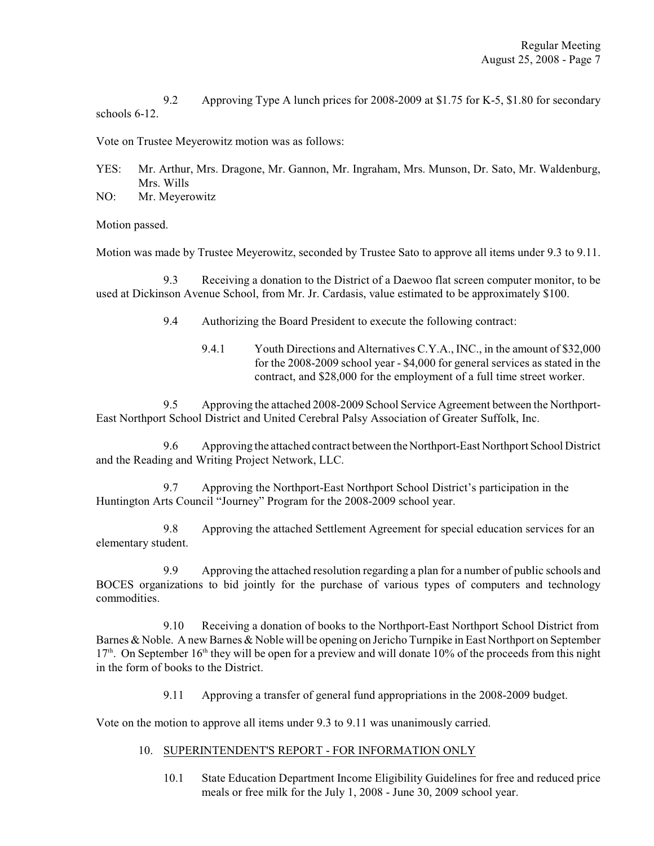9.2 Approving Type A lunch prices for 2008-2009 at \$1.75 for K-5, \$1.80 for secondary schools 6-12.

Vote on Trustee Meyerowitz motion was as follows:

YES: Mr. Arthur, Mrs. Dragone, Mr. Gannon, Mr. Ingraham, Mrs. Munson, Dr. Sato, Mr. Waldenburg, Mrs. Wills

NO: Mr. Meyerowitz

Motion passed.

Motion was made by Trustee Meyerowitz, seconded by Trustee Sato to approve all items under 9.3 to 9.11.

9.3 Receiving a donation to the District of a Daewoo flat screen computer monitor, to be used at Dickinson Avenue School, from Mr. Jr. Cardasis, value estimated to be approximately \$100.

9.4 Authorizing the Board President to execute the following contract:

9.4.1 Youth Directions and Alternatives C.Y.A., INC., in the amount of \$32,000 for the 2008-2009 school year - \$4,000 for general services as stated in the contract, and \$28,000 for the employment of a full time street worker.

9.5 Approving the attached 2008-2009 School Service Agreement between the Northport-East Northport School District and United Cerebral Palsy Association of Greater Suffolk, Inc.

9.6 Approving the attached contract between the Northport-East Northport School District and the Reading and Writing Project Network, LLC.

9.7 Approving the Northport-East Northport School District's participation in the Huntington Arts Council "Journey" Program for the 2008-2009 school year.

9.8 Approving the attached Settlement Agreement for special education services for an elementary student.

9.9 Approving the attached resolution regarding a plan for a number of public schools and BOCES organizations to bid jointly for the purchase of various types of computers and technology commodities.

9.10 Receiving a donation of books to the Northport-East Northport School District from Barnes & Noble. A new Barnes & Noble will be opening on Jericho Turnpike in East Northport on September  $17<sup>th</sup>$ . On September 16<sup>th</sup> they will be open for a preview and will donate 10% of the proceeds from this night in the form of books to the District.

9.11 Approving a transfer of general fund appropriations in the 2008-2009 budget.

Vote on the motion to approve all items under 9.3 to 9.11 was unanimously carried.

# 10. SUPERINTENDENT'S REPORT - FOR INFORMATION ONLY

10.1 State Education Department Income Eligibility Guidelines for free and reduced price meals or free milk for the July 1, 2008 - June 30, 2009 school year.